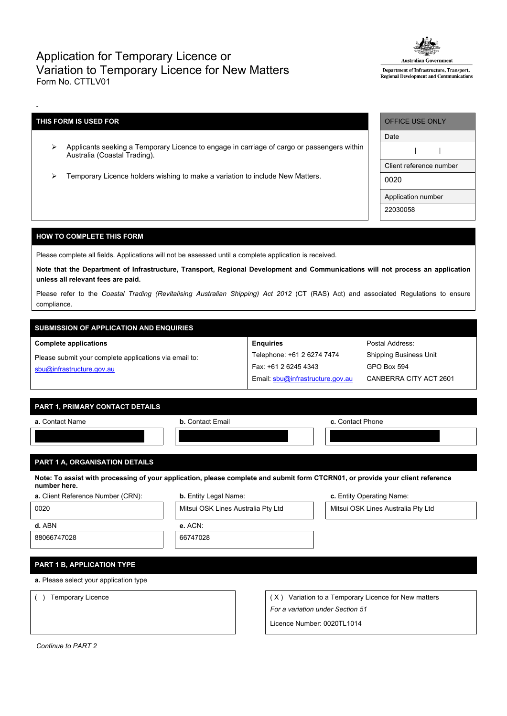# Application for Temporary Licence or Variation to Temporary Licence for New Matters Form No. CTTLV01



Department of Infrastructure, Transport, Regional Development and Communications

### **THIS FORM IS USED FOR**

-

- Applicants seeking a Temporary Licence to engage in carriage of cargo or passengers within Australia (Coastal Trading).
- Temporary Licence holders wishing to make a variation to include New Matters.

| <b>OFFICE USE ONLY</b>  |
|-------------------------|
| Date                    |
|                         |
| Client reference number |
| 0020                    |
| Application number      |
| 22030058                |

### **HOW TO COMPLETE THIS FORM**

Please complete all fields. Applications will not be assessed until a complete application is received.

Note that the Department of Infrastructure, Transport, Regional Development and Communications will not process an application **unless all relevant fees are paid.**

Please refer to the *Coastal Trading (Revitalising Australian Shipping) Act 2012* (CT (RAS) Act) and associated Regulations to ensure compliance.

# **SUBMISSION OF APPLICATION AND ENQUIRIES**

**Complete applications**

| Please submit your complete applications via email to: |  |
|--------------------------------------------------------|--|
| sbu@infrastructure.gov.au                              |  |

| <b>Enquiries</b>                 |
|----------------------------------|
| Telephone: +61 2 6274 7474       |
| Fax: +61 2 6245 4343             |
| Email: sbu@infrastructure.gov.au |

Postal Address: Shipping Business Unit GPO Box 594 CANBERRA CITY ACT 2601

### **PART 1, PRIMARY CONTACT DETAILS**

| a. Contact Name | <b>b.</b> Contact Email | c. Contact Phone |
|-----------------|-------------------------|------------------|
|                 |                         |                  |
|                 |                         |                  |

### **PART 1 A, ORGANISATION DETAILS**

Note: To assist with processing of your application, please complete and submit form CTCRN01, or provide your client reference **number here.**

|  | <b>a.</b> Client Reference Number (CRN): |  |
|--|------------------------------------------|--|
|  |                                          |  |

| 0020   | Mitsui OSK Lines Australia Pty Ltd | Mitsui OSK Lines Australia Pty Ltd |
|--------|------------------------------------|------------------------------------|
| d. ABN | e. ACN:                            |                                    |

**b.** Entity Legal Name: **b.** Entity Operating Name:

88066747028 66747028

# **PART 1 B, APPLICATION TYPE**

**a.** Please select your application type

( ) Temporary Licence  $( X )$  Orange and Temporary Licence for New matters *For a variation under Section 51*

Licence Number: 0020TL1014

*Continue to PART 2*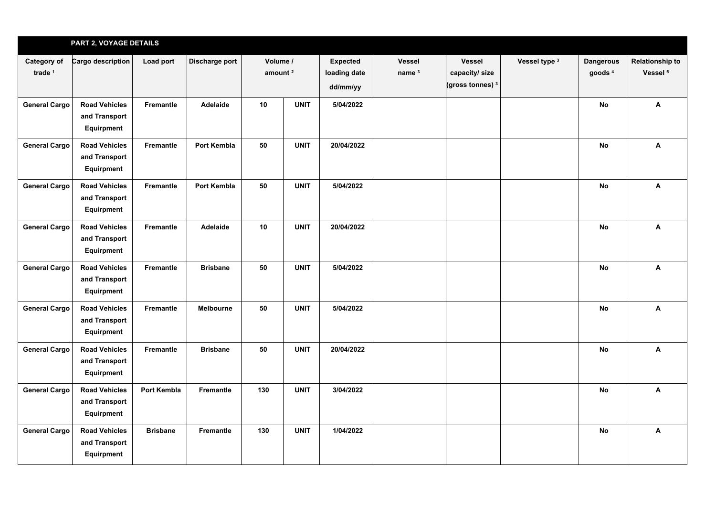|                          | PART 2, VOYAGE DETAILS                                     |                  |                    |     |                                 |            |                                    |                                                                |               |                                        |                                               |
|--------------------------|------------------------------------------------------------|------------------|--------------------|-----|---------------------------------|------------|------------------------------------|----------------------------------------------------------------|---------------|----------------------------------------|-----------------------------------------------|
| Category of<br>trade $1$ | Cargo description                                          | Load port        | Discharge port     |     | Volume /<br>amount <sup>2</sup> |            | <b>Vessel</b><br>name <sup>3</sup> | <b>Vessel</b><br>capacity/ size<br>(gross tonnes) <sup>3</sup> | Vessel type 3 | <b>Dangerous</b><br>goods <sup>4</sup> | <b>Relationship to</b><br>Vessel <sup>5</sup> |
| <b>General Cargo</b>     | <b>Road Vehicles</b><br>and Transport<br>Equirpment        | Fremantle        | Adelaide           | 10  | <b>UNIT</b>                     | 5/04/2022  |                                    |                                                                |               | <b>No</b>                              | A                                             |
| <b>General Cargo</b>     | <b>Road Vehicles</b><br>and Transport<br>Equirpment        | Fremantle        | Port Kembla        | 50  | <b>UNIT</b>                     | 20/04/2022 |                                    |                                                                |               | <b>No</b>                              | $\boldsymbol{\mathsf{A}}$                     |
| <b>General Cargo</b>     | <b>Road Vehicles</b><br>and Transport<br>Equirpment        | Fremantle        | <b>Port Kembla</b> | 50  | <b>UNIT</b>                     | 5/04/2022  |                                    |                                                                |               | <b>No</b>                              | A                                             |
| <b>General Cargo</b>     | <b>Road Vehicles</b><br>and Transport<br>Equirpment        | Fremantle        | Adelaide           | 10  | <b>UNIT</b>                     | 20/04/2022 |                                    |                                                                |               | <b>No</b>                              | $\boldsymbol{\mathsf{A}}$                     |
| <b>General Cargo</b>     | <b>Road Vehicles</b><br>and Transport<br>Equirpment        | <b>Fremantle</b> | <b>Brisbane</b>    | 50  | <b>UNIT</b>                     | 5/04/2022  |                                    |                                                                |               | <b>No</b>                              | $\boldsymbol{\mathsf{A}}$                     |
| <b>General Cargo</b>     | <b>Road Vehicles</b><br>and Transport<br>Equirpment        | Fremantle        | Melbourne          | 50  | <b>UNIT</b>                     | 5/04/2022  |                                    |                                                                |               | No                                     | $\boldsymbol{\mathsf{A}}$                     |
| <b>General Cargo</b>     | <b>Road Vehicles</b><br>and Transport<br>Equirpment        | Fremantle        | <b>Brisbane</b>    | 50  | <b>UNIT</b>                     | 20/04/2022 |                                    |                                                                |               | No                                     | $\boldsymbol{\mathsf{A}}$                     |
| <b>General Cargo</b>     | <b>Road Vehicles</b><br>and Transport<br>Equirpment        | Port Kembla      | Fremantle          | 130 | <b>UNIT</b>                     | 3/04/2022  |                                    |                                                                |               | <b>No</b>                              | A                                             |
| <b>General Cargo</b>     | <b>Road Vehicles</b><br>and Transport<br><b>Equirpment</b> | <b>Brisbane</b>  | Fremantle          | 130 | <b>UNIT</b>                     | 1/04/2022  |                                    |                                                                |               | No                                     | $\boldsymbol{\mathsf{A}}$                     |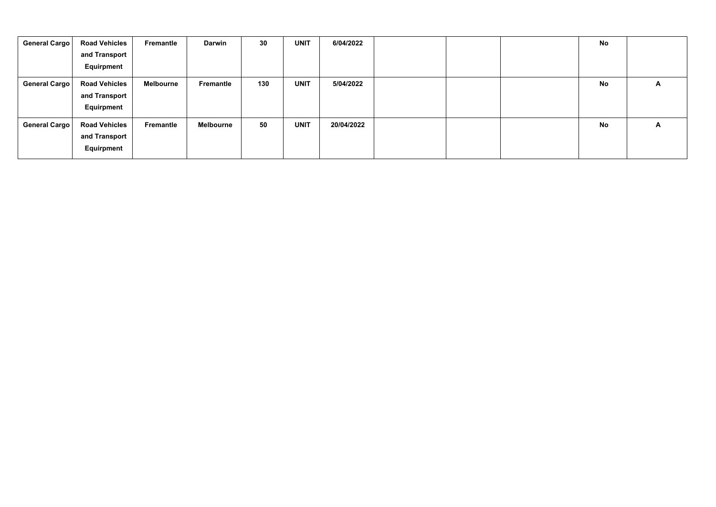| General Cargo | <b>Road Vehicles</b><br>and Transport<br>Equirpment | Fremantle | <b>Darwin</b>    | 30  | <b>UNIT</b> | 6/04/2022  |  | No |   |
|---------------|-----------------------------------------------------|-----------|------------------|-----|-------------|------------|--|----|---|
| General Cargo | <b>Road Vehicles</b><br>and Transport<br>Equirpment | Melbourne | Fremantle        | 130 | <b>UNIT</b> | 5/04/2022  |  | No | A |
| General Cargo | <b>Road Vehicles</b><br>and Transport<br>Equirpment | Fremantle | <b>Melbourne</b> | 50  | <b>UNIT</b> | 20/04/2022 |  | No | A |